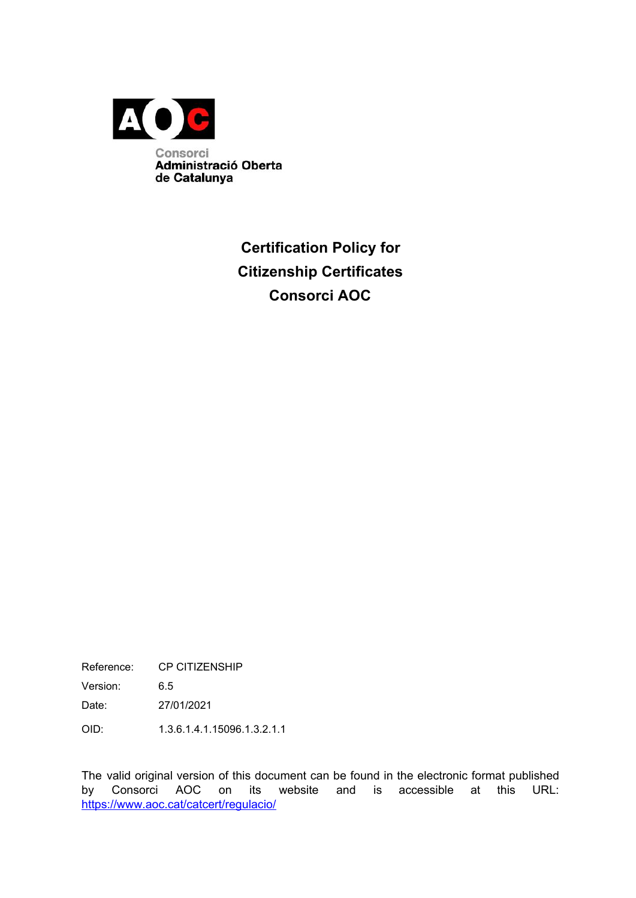

# **Certification Policy for Citizenship Certificates Consorci AOC**

Reference: CP CITIZENSHIP

Version: 6.5

Date: 27/01/2021

OID: 1.3.6.1.4.1.15096.1.3.2.1.1

The valid original version of this document can be found in the electronic format published by Consorci AOC on its website and is accessible at this URL: <https://www.aoc.cat/catcert/regulacio/>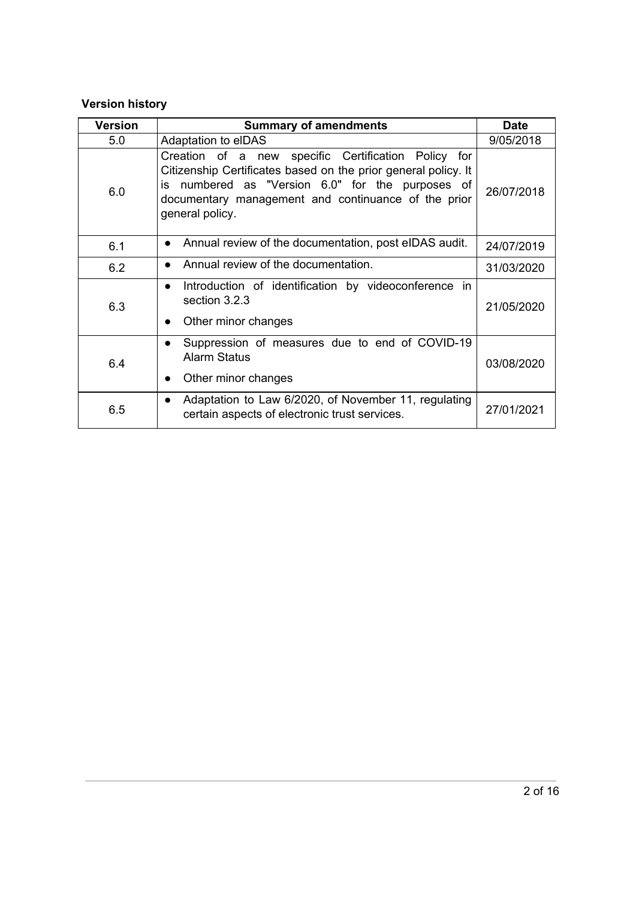### **Version history**

| <b>Version</b> | <b>Summary of amendments</b>                                                                                                                                                                                                                        | <b>Date</b> |
|----------------|-----------------------------------------------------------------------------------------------------------------------------------------------------------------------------------------------------------------------------------------------------|-------------|
| 5.0            | Adaptation to elDAS                                                                                                                                                                                                                                 | 9/05/2018   |
| 6.0            | Creation of a new specific Certification Policy for<br>Citizenship Certificates based on the prior general policy. It<br>is numbered as "Version 6.0" for the purposes of<br>documentary management and continuance of the prior<br>general policy. | 26/07/2018  |
| 6.1            | Annual review of the documentation, post eIDAS audit.                                                                                                                                                                                               | 24/07/2019  |
| 6.2            | Annual review of the documentation.                                                                                                                                                                                                                 | 31/03/2020  |
| 6.3            | Introduction of identification by videoconference in<br>$\bullet$<br>section 3.2.3<br>Other minor changes<br>$\bullet$                                                                                                                              | 21/05/2020  |
| 6.4            | Suppression of measures due to end of COVID-19<br><b>Alarm Status</b><br>Other minor changes                                                                                                                                                        | 03/08/2020  |
| 6.5            | Adaptation to Law 6/2020, of November 11, regulating<br>$\bullet$<br>certain aspects of electronic trust services.                                                                                                                                  | 27/01/2021  |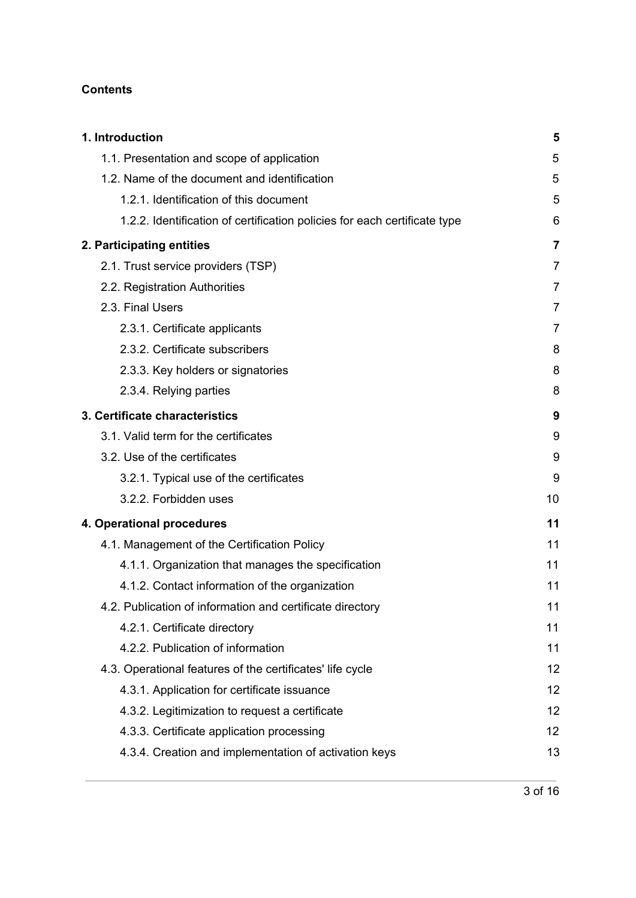#### **Contents**

| 1. Introduction                                                           | 5              |
|---------------------------------------------------------------------------|----------------|
| 1.1. Presentation and scope of application                                | 5              |
| 1.2. Name of the document and identification                              | 5              |
| 1.2.1. Identification of this document                                    | 5              |
| 1.2.2. Identification of certification policies for each certificate type | 6              |
| 2. Participating entities                                                 | 7              |
| 2.1. Trust service providers (TSP)                                        | $\overline{7}$ |
| 2.2. Registration Authorities                                             | 7              |
| 2.3. Final Users                                                          | 7              |
| 2.3.1. Certificate applicants                                             | 7              |
| 2.3.2. Certificate subscribers                                            | 8              |
| 2.3.3. Key holders or signatories                                         | 8              |
| 2.3.4. Relying parties                                                    | 8              |
| 3. Certificate characteristics                                            | 9              |
| 3.1. Valid term for the certificates                                      | 9              |
| 3.2. Use of the certificates                                              | 9              |
| 3.2.1. Typical use of the certificates                                    | 9              |
| 3.2.2. Forbidden uses                                                     | 10             |
| 4. Operational procedures                                                 | 11             |
| 4.1. Management of the Certification Policy                               | 11             |
| 4.1.1. Organization that manages the specification                        | 11             |
| 4.1.2. Contact information of the organization                            | 11             |
| 4.2. Publication of information and certificate directory                 | 11             |
| 4.2.1. Certificate directory                                              | 11             |
| 4.2.2. Publication of information                                         | 11             |
| 4.3. Operational features of the certificates' life cycle                 | 12             |
| 4.3.1. Application for certificate issuance                               | 12             |
| 4.3.2. Legitimization to request a certificate                            | 12             |
| 4.3.3. Certificate application processing                                 | 12             |
| 4.3.4. Creation and implementation of activation keys                     | 13             |
|                                                                           |                |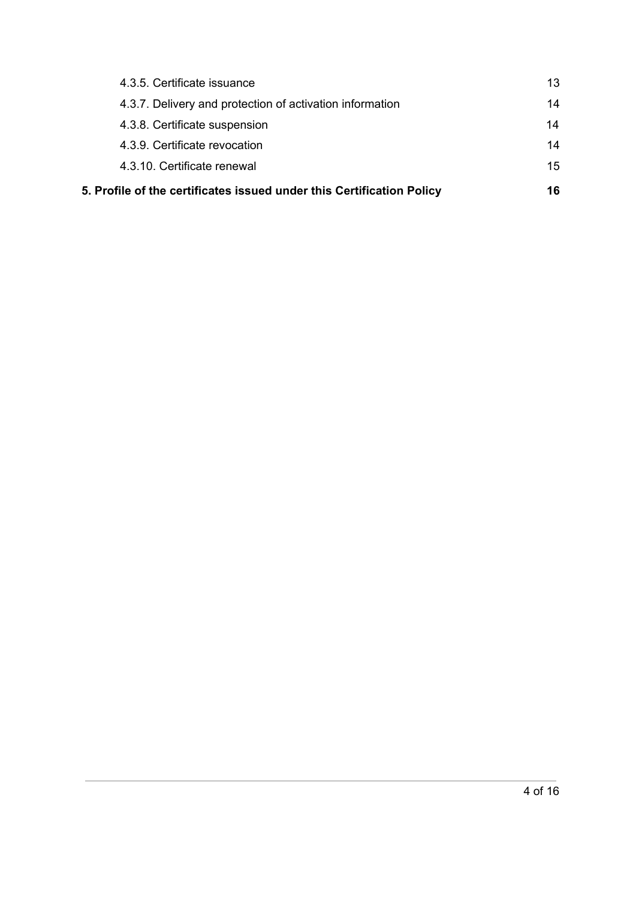| 5. Profile of the certificates issued under this Certification Policy | 16 |
|-----------------------------------------------------------------------|----|
| 4.3.10. Certificate renewal                                           | 15 |
| 4.3.9. Certificate revocation                                         | 14 |
| 4.3.8. Certificate suspension                                         | 14 |
| 4.3.7. Delivery and protection of activation information              | 14 |
| 4.3.5. Certificate issuance                                           | 13 |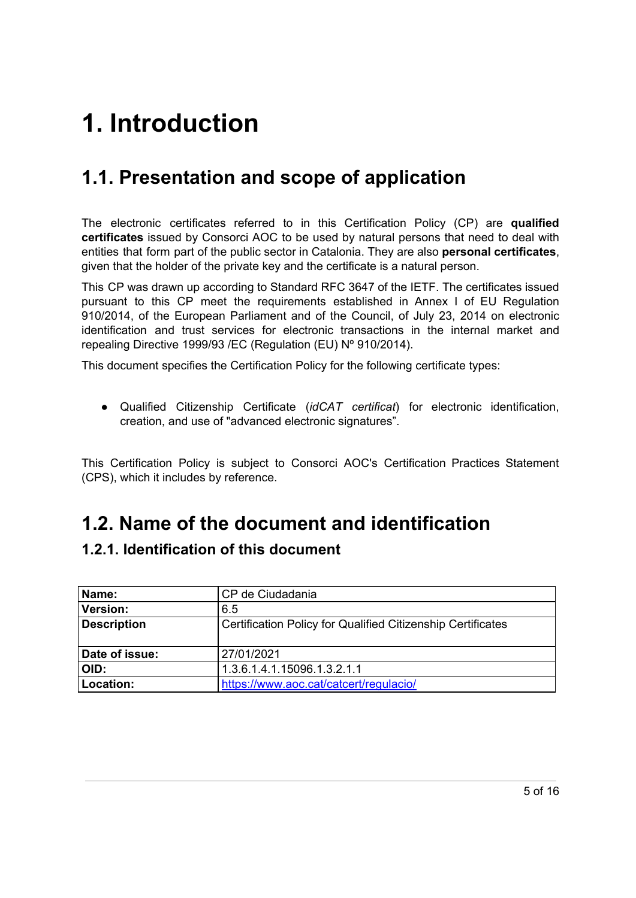# <span id="page-4-0"></span>**1. Introduction**

# <span id="page-4-1"></span>**1.1. Presentation and scope of application**

The electronic certificates referred to in this Certification Policy (CP) are **qualified certificates** issued by Consorci AOC to be used by natural persons that need to deal with entities that form part of the public sector in Catalonia. They are also **personal certificates**, given that the holder of the private key and the certificate is a natural person.

This CP was drawn up according to Standard RFC 3647 of the IETF. The certificates issued pursuant to this CP meet the requirements established in Annex I of EU Regulation 910/2014, of the European Parliament and of the Council, of July 23, 2014 on electronic identification and trust services for electronic transactions in the internal market and repealing Directive 1999/93 /EC (Regulation (EU) Nº 910/2014).

This document specifies the Certification Policy for the following certificate types:

● Qualified Citizenship Certificate (*idCAT certificat*) for electronic identification, creation, and use of "advanced electronic signatures".

This Certification Policy is subject to Consorci AOC's Certification Practices Statement (CPS), which it includes by reference.

# <span id="page-4-2"></span>**1.2. Name of the document and identification**

### <span id="page-4-3"></span>**1.2.1. Identification of this document**

| Name:              | CP de Ciudadania                                            |
|--------------------|-------------------------------------------------------------|
| <b>Version:</b>    | 6.5                                                         |
| <b>Description</b> | Certification Policy for Qualified Citizenship Certificates |
| Date of issue:     | 27/01/2021                                                  |
| OID:               | 1.3.6.1.4.1.15096.1.3.2.1.1                                 |
| Location:          | https://www.aoc.cat/catcert/regulacio/                      |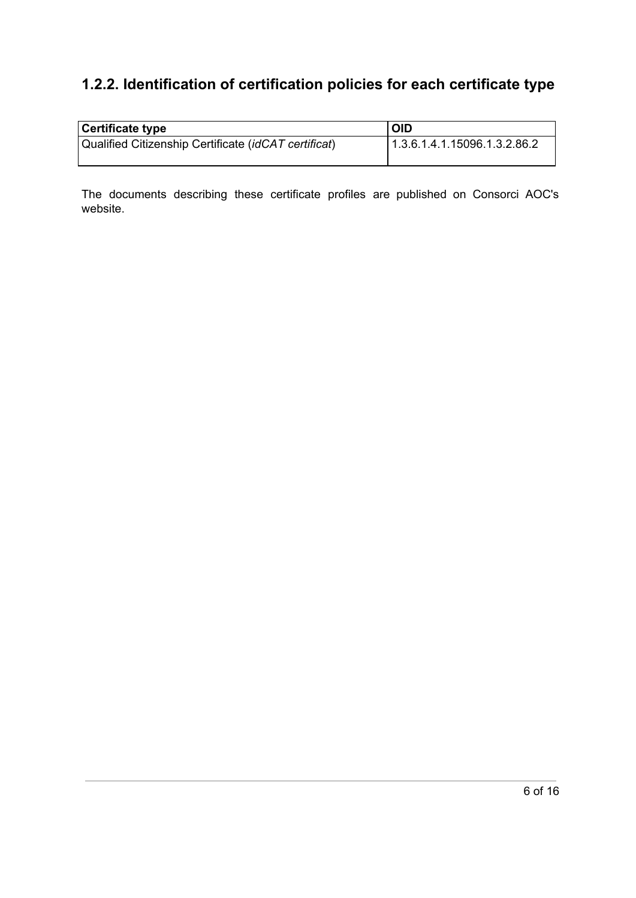## <span id="page-5-0"></span>**1.2.2. Identification of certification policies for each certificate type**

| Certificate type                                     | <b>OID</b>                   |
|------------------------------------------------------|------------------------------|
| Qualified Citizenship Certificate (idCAT certificat) | 1.3.6.1.4.1.15096.1.3.2.86.2 |

The documents describing these certificate profiles are published on Consorci AOC's website.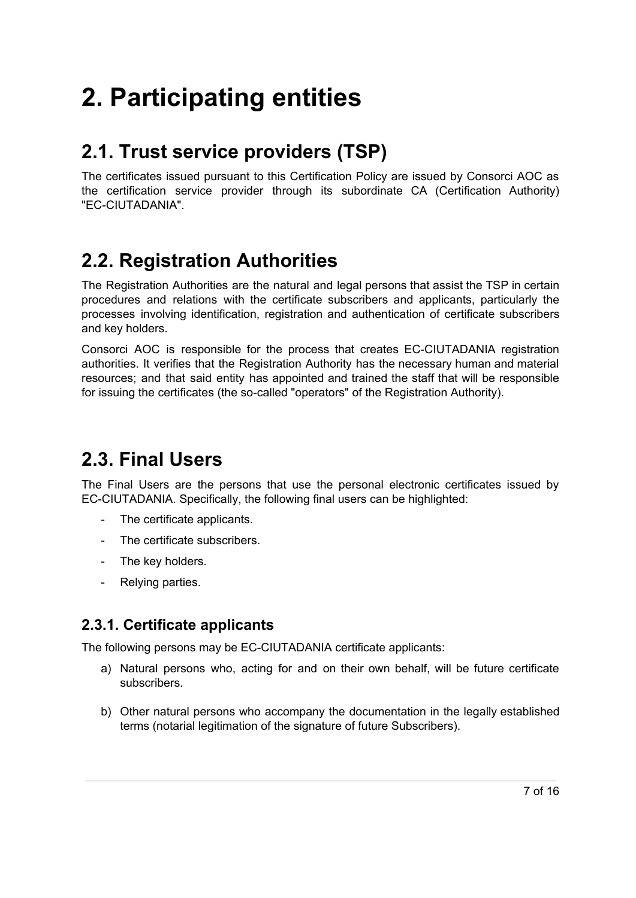# <span id="page-6-0"></span>**2. Participating entities**

# <span id="page-6-1"></span>**2.1. Trust service providers (TSP)**

The certificates issued pursuant to this Certification Policy are issued by Consorci AOC as the certification service provider through its subordinate CA (Certification Authority) "EC-CIUTADANIA".

# <span id="page-6-2"></span>**2.2. Registration Authorities**

The Registration Authorities are the natural and legal persons that assist the TSP in certain procedures and relations with the certificate subscribers and applicants, particularly the processes involving identification, registration and authentication of certificate subscribers and key holders.

Consorci AOC is responsible for the process that creates EC-CIUTADANIA registration authorities. It verifies that the Registration Authority has the necessary human and material resources; and that said entity has appointed and trained the staff that will be responsible for issuing the certificates (the so-called "operators" of the Registration Authority).

# <span id="page-6-3"></span>**2.3. Final Users**

The Final Users are the persons that use the personal electronic certificates issued by EC-CIUTADANIA. Specifically, the following final users can be highlighted:

- The certificate applicants.
- The certificate subscribers.
- The key holders.
- Relying parties.

### <span id="page-6-4"></span>**2.3.1. Certificate applicants**

The following persons may be EC-CIUTADANIA certificate applicants:

- a) Natural persons who, acting for and on their own behalf, will be future certificate subscribers.
- b) Other natural persons who accompany the documentation in the legally established terms (notarial legitimation of the signature of future Subscribers).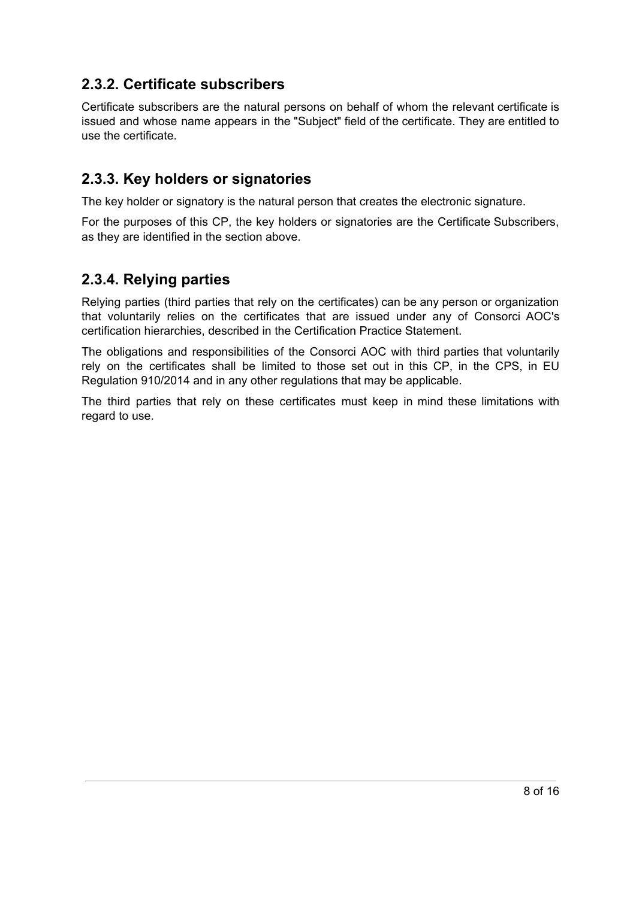### <span id="page-7-0"></span>**2.3.2. Certificate subscribers**

Certificate subscribers are the natural persons on behalf of whom the relevant certificate is issued and whose name appears in the "Subject" field of the certificate. They are entitled to use the certificate.

### <span id="page-7-1"></span>**2.3.3. Key holders or signatories**

The key holder or signatory is the natural person that creates the electronic signature.

For the purposes of this CP, the key holders or signatories are the Certificate Subscribers, as they are identified in the section above.

### <span id="page-7-2"></span>**2.3.4. Relying parties**

Relying parties (third parties that rely on the certificates) can be any person or organization that voluntarily relies on the certificates that are issued under any of Consorci AOC's certification hierarchies, described in the Certification Practice Statement.

The obligations and responsibilities of the Consorci AOC with third parties that voluntarily rely on the certificates shall be limited to those set out in this CP, in the CPS, in EU Regulation 910/2014 and in any other regulations that may be applicable.

The third parties that rely on these certificates must keep in mind these limitations with regard to use.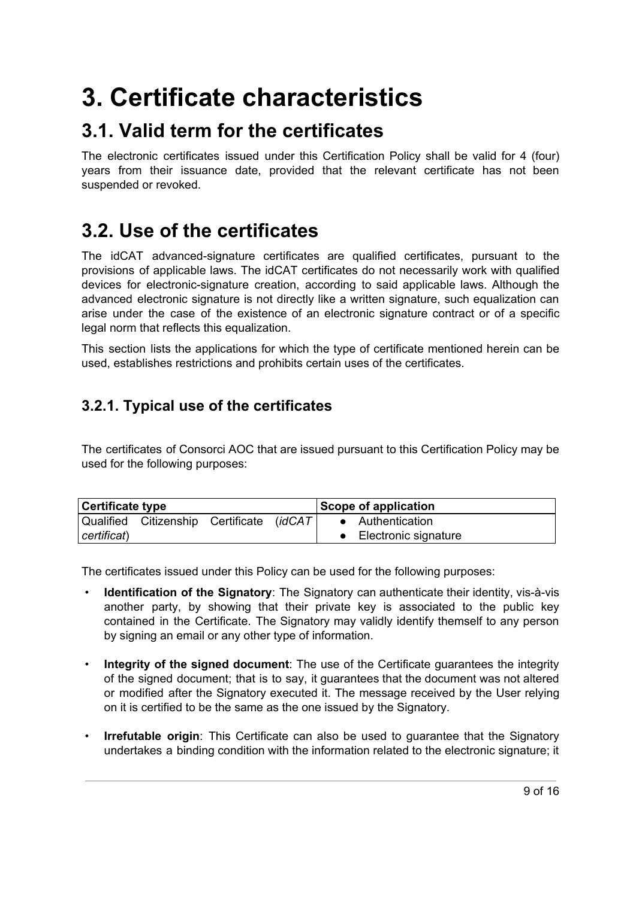# <span id="page-8-0"></span>**3. Certificate characteristics**

# <span id="page-8-1"></span>**3.1. Valid term for the certificates**

The electronic certificates issued under this Certification Policy shall be valid for 4 (four) years from their issuance date, provided that the relevant certificate has not been suspended or revoked.

# <span id="page-8-2"></span>**3.2. Use of the certificates**

The idCAT advanced-signature certificates are qualified certificates, pursuant to the provisions of applicable laws. The idCAT certificates do not necessarily work with qualified devices for electronic-signature creation, according to said applicable laws. Although the advanced electronic signature is not directly like a written signature, such equalization can arise under the case of the existence of an electronic signature contract or of a specific legal norm that reflects this equalization.

This section lists the applications for which the type of certificate mentioned herein can be used, establishes restrictions and prohibits certain uses of the certificates.

## <span id="page-8-3"></span>**3.2.1. Typical use of the certificates**

The certificates of Consorci AOC that are issued pursuant to this Certification Policy may be used for the following purposes:

| <b>Certificate type</b> |                                           |  | Scope of application |                        |  |
|-------------------------|-------------------------------------------|--|----------------------|------------------------|--|
|                         | Qualified Citizenship Certificate (idCAT) |  |                      | • Authentication       |  |
| certificat)             |                                           |  |                      | • Electronic signature |  |

The certificates issued under this Policy can be used for the following purposes:

- **Identification of the Signatory**: The Signatory can authenticate their identity, vis-à-vis another party, by showing that their private key is associated to the public key contained in the Certificate. The Signatory may validly identify themself to any person by signing an email or any other type of information.
- **Integrity of the signed document**: The use of the Certificate guarantees the integrity of the signed document; that is to say, it guarantees that the document was not altered or modified after the Signatory executed it. The message received by the User relying on it is certified to be the same as the one issued by the Signatory.
- **Irrefutable origin**: This Certificate can also be used to guarantee that the Signatory undertakes a binding condition with the information related to the electronic signature; it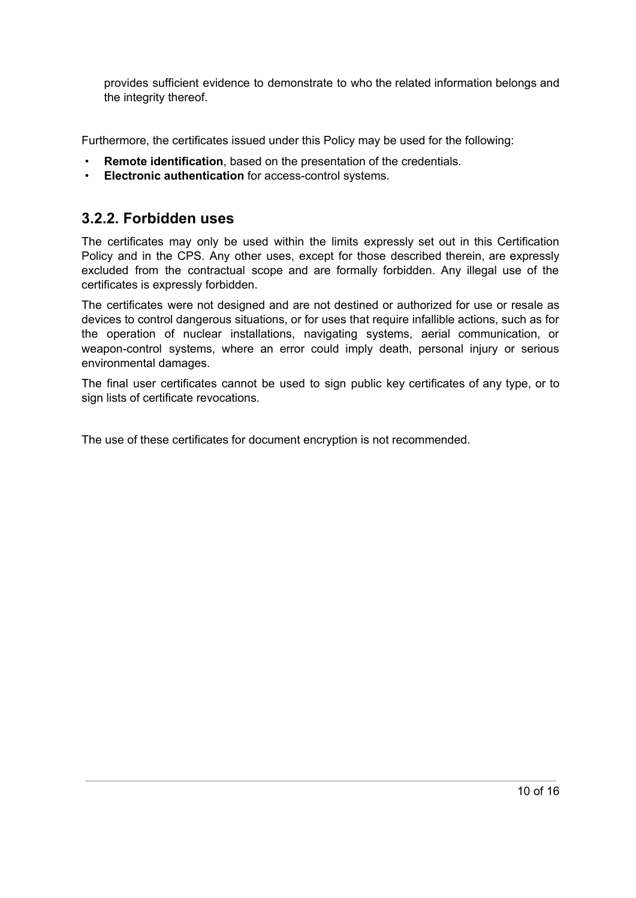provides sufficient evidence to demonstrate to who the related information belongs and the integrity thereof.

Furthermore, the certificates issued under this Policy may be used for the following:

- **Remote identification**, based on the presentation of the credentials.
- **Electronic authentication** for access-control systems.

#### <span id="page-9-0"></span>**3.2.2. Forbidden uses**

The certificates may only be used within the limits expressly set out in this Certification Policy and in the CPS. Any other uses, except for those described therein, are expressly excluded from the contractual scope and are formally forbidden. Any illegal use of the certificates is expressly forbidden.

The certificates were not designed and are not destined or authorized for use or resale as devices to control dangerous situations, or for uses that require infallible actions, such as for the operation of nuclear installations, navigating systems, aerial communication, or weapon-control systems, where an error could imply death, personal injury or serious environmental damages.

The final user certificates cannot be used to sign public key certificates of any type, or to sign lists of certificate revocations.

The use of these certificates for document encryption is not recommended.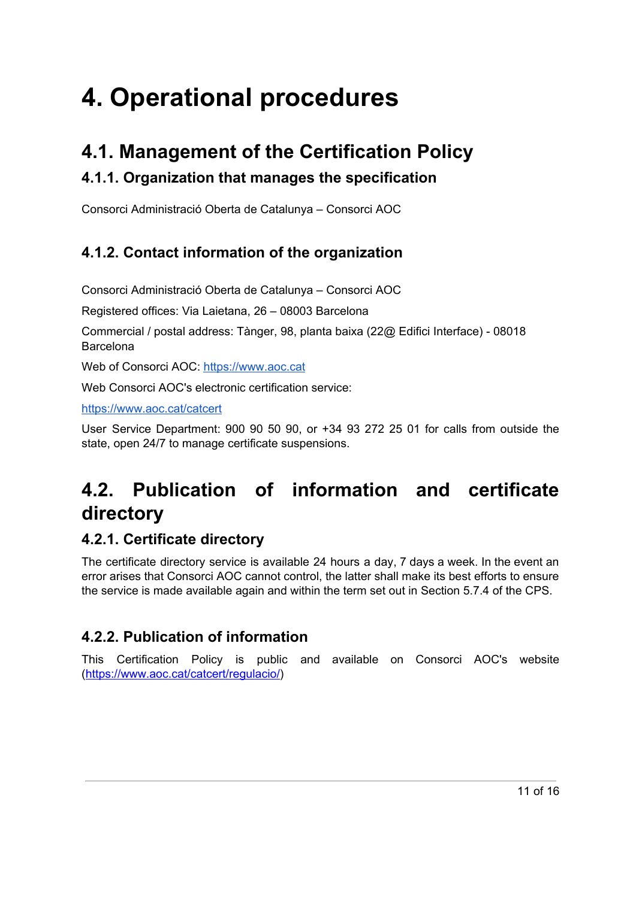# <span id="page-10-0"></span>**4. Operational procedures**

# <span id="page-10-1"></span>**4.1. Management of the Certification Policy**

## <span id="page-10-2"></span>**4.1.1. Organization that manages the specification**

Consorci Administració Oberta de Catalunya – Consorci AOC

## <span id="page-10-3"></span>**4.1.2. Contact information of the organization**

Consorci Administració Oberta de Catalunya – Consorci AOC

Registered offices: Via Laietana, 26 – 08003 Barcelona

Commercial / postal address: Tànger, 98, planta baixa (22@ Edifici Interface) - 08018 Barcelona

Web of Consorci AOC: https://[www.aoc.cat](https://www.aoc.cat/)

Web Consorci AOC's electronic certification service:

https://[www.aoc.cat/catcert](http://www.aoc.cat/catcert)

User Service Department: 900 90 50 90, or +34 93 272 25 01 for calls from outside the state, open 24/7 to manage certificate suspensions.

# <span id="page-10-4"></span>**4.2. Publication of information and certificate directory**

## <span id="page-10-5"></span>**4.2.1. Certificate directory**

The certificate directory service is available 24 hours a day, 7 days a week. In the event an error arises that Consorci AOC cannot control, the latter shall make its best efforts to ensure the service is made available again and within the term set out in Section 5.7.4 of the CPS.

## <span id="page-10-6"></span>**4.2.2. Publication of information**

This Certification Policy is public and available on Consorci AOC's website [\(https://www.aoc.cat/catcert/regulacio/\)](https://www.aoc.cat/catcert/regulacio/)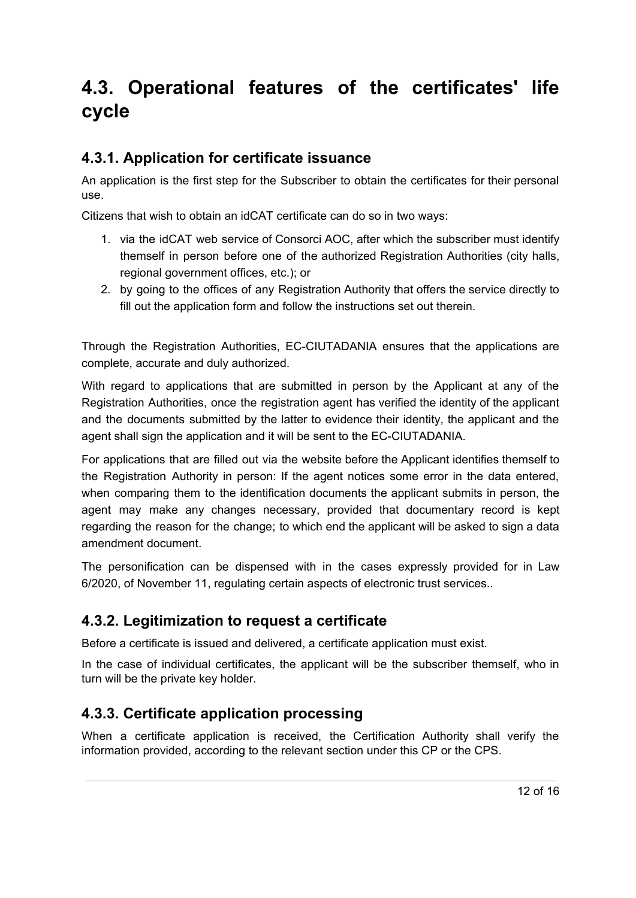# <span id="page-11-0"></span>**4.3. Operational features of the certificates' life cycle**

### <span id="page-11-1"></span>**4.3.1. Application for certificate issuance**

An application is the first step for the Subscriber to obtain the certificates for their personal use.

Citizens that wish to obtain an idCAT certificate can do so in two ways:

- 1. via the idCAT web service of Consorci AOC, after which the subscriber must identify themself in person before one of the authorized Registration Authorities (city halls, regional government offices, etc.); or
- 2. by going to the offices of any Registration Authority that offers the service directly to fill out the application form and follow the instructions set out therein.

Through the Registration Authorities, EC-CIUTADANIA ensures that the applications are complete, accurate and duly authorized.

With regard to applications that are submitted in person by the Applicant at any of the Registration Authorities, once the registration agent has verified the identity of the applicant and the documents submitted by the latter to evidence their identity, the applicant and the agent shall sign the application and it will be sent to the EC-CIUTADANIA.

For applications that are filled out via the website before the Applicant identifies themself to the Registration Authority in person: If the agent notices some error in the data entered, when comparing them to the identification documents the applicant submits in person, the agent may make any changes necessary, provided that documentary record is kept regarding the reason for the change; to which end the applicant will be asked to sign a data amendment document.

The personification can be dispensed with in the cases expressly provided for in Law 6/2020, of November 11, regulating certain aspects of electronic trust services..

### <span id="page-11-2"></span>**4.3.2. Legitimization to request a certificate**

Before a certificate is issued and delivered, a certificate application must exist.

In the case of individual certificates, the applicant will be the subscriber themself, who in turn will be the private key holder.

## <span id="page-11-3"></span>**4.3.3. Certificate application processing**

When a certificate application is received, the Certification Authority shall verify the information provided, according to the relevant section under this CP or the CPS.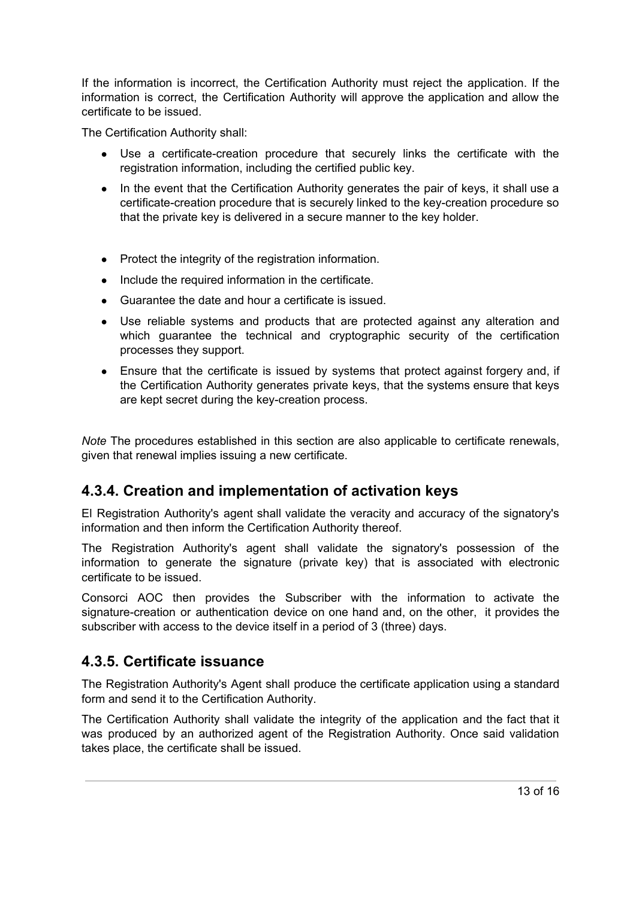If the information is incorrect, the Certification Authority must reject the application. If the information is correct, the Certification Authority will approve the application and allow the certificate to be issued.

The Certification Authority shall:

- Use a certificate-creation procedure that securely links the certificate with the registration information, including the certified public key.
- In the event that the Certification Authority generates the pair of keys, it shall use a certificate-creation procedure that is securely linked to the key-creation procedure so that the private key is delivered in a secure manner to the key holder.
- Protect the integrity of the registration information.
- Include the required information in the certificate.
- Guarantee the date and hour a certificate is issued.
- Use reliable systems and products that are protected against any alteration and which guarantee the technical and cryptographic security of the certification processes they support.
- Ensure that the certificate is issued by systems that protect against forgery and, if the Certification Authority generates private keys, that the systems ensure that keys are kept secret during the key-creation process.

*Note* The procedures established in this section are also applicable to certificate renewals, given that renewal implies issuing a new certificate.

### <span id="page-12-0"></span>**4.3.4. Creation and implementation of activation keys**

El Registration Authority's agent shall validate the veracity and accuracy of the signatory's information and then inform the Certification Authority thereof.

The Registration Authority's agent shall validate the signatory's possession of the information to generate the signature (private key) that is associated with electronic certificate to be issued.

Consorci AOC then provides the Subscriber with the information to activate the signature-creation or authentication device on one hand and, on the other, it provides the subscriber with access to the device itself in a period of 3 (three) days.

### <span id="page-12-1"></span>**4.3.5. Certificate issuance**

The Registration Authority's Agent shall produce the certificate application using a standard form and send it to the Certification Authority.

The Certification Authority shall validate the integrity of the application and the fact that it was produced by an authorized agent of the Registration Authority. Once said validation takes place, the certificate shall be issued.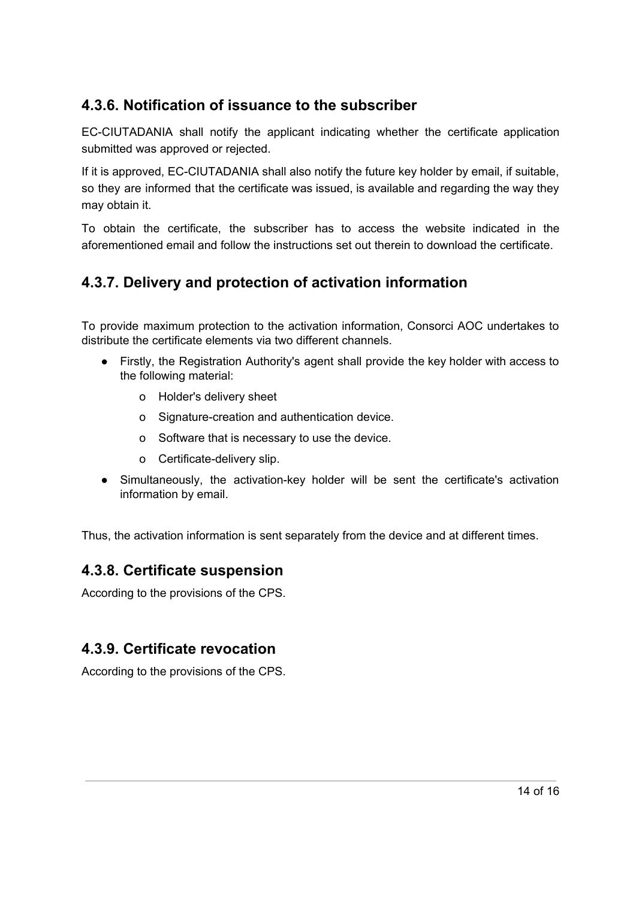## **4.3.6. Notification of issuance to the subscriber**

EC-CIUTADANIA shall notify the applicant indicating whether the certificate application submitted was approved or rejected.

If it is approved, EC-CIUTADANIA shall also notify the future key holder by email, if suitable, so they are informed that the certificate was issued, is available and regarding the way they may obtain it.

To obtain the certificate, the subscriber has to access the website indicated in the aforementioned email and follow the instructions set out therein to download the certificate.

## <span id="page-13-0"></span>**4.3.7. Delivery and protection of activation information**

To provide maximum protection to the activation information, Consorci AOC undertakes to distribute the certificate elements via two different channels.

- Firstly, the Registration Authority's agent shall provide the key holder with access to the following material:
	- o Holder's delivery sheet
	- o Signature-creation and authentication device.
	- o Software that is necessary to use the device.
	- o Certificate-delivery slip.
- Simultaneously, the activation-key holder will be sent the certificate's activation information by email.

<span id="page-13-1"></span>Thus, the activation information is sent separately from the device and at different times.

### **4.3.8. Certificate suspension**

According to the provisions of the CPS.

### <span id="page-13-2"></span>**4.3.9. Certificate revocation**

According to the provisions of the CPS.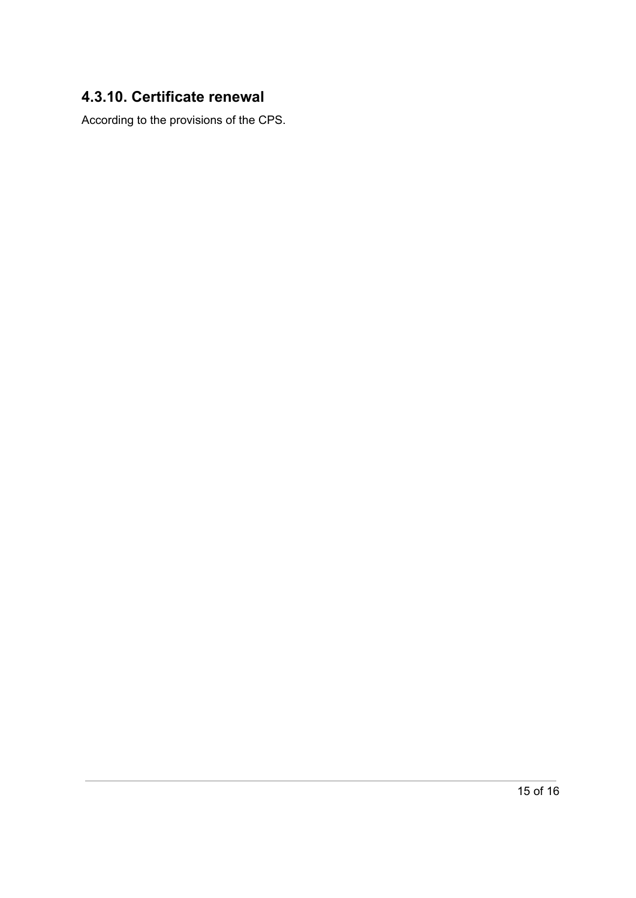## <span id="page-14-0"></span>**4.3.10. Certificate renewal**

According to the provisions of the CPS.